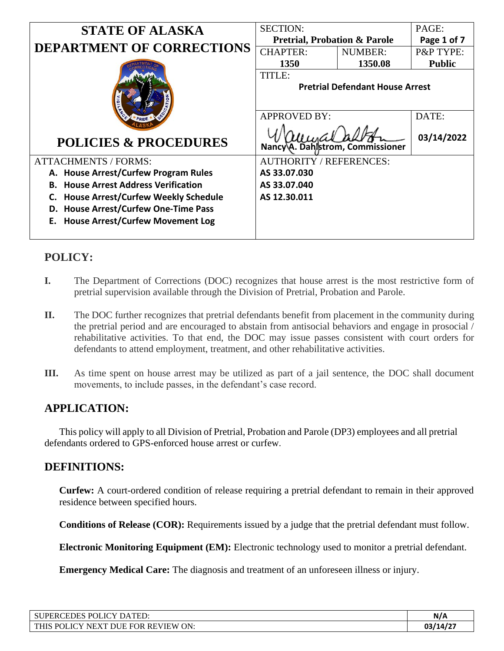| <b>STATE OF ALASKA</b>                           | <b>SECTION:</b>                         |                | PAGE:                |
|--------------------------------------------------|-----------------------------------------|----------------|----------------------|
| <b>DEPARTMENT OF CORRECTIONS</b>                 | <b>Pretrial, Probation &amp; Parole</b> |                | Page 1 of 7          |
|                                                  | <b>CHAPTER:</b>                         | <b>NUMBER:</b> | <b>P&amp;P TYPE:</b> |
|                                                  | 1350                                    | 1350.08        | <b>Public</b>        |
|                                                  | <b>TITLE:</b>                           |                |                      |
|                                                  | <b>Pretrial Defendant House Arrest</b>  |                |                      |
|                                                  | <b>APPROVED BY:</b>                     |                | DATE:                |
| <b>POLICIES &amp; PROCEDURES</b>                 | Nancy A. Dahlstrom, Commissioner        |                | 03/14/2022           |
| <b>ATTACHMENTS / FORMS:</b>                      | <b>AUTHORITY / REFERENCES:</b>          |                |                      |
| A. House Arrest/Curfew Program Rules             | AS 33.07.030                            |                |                      |
| <b>House Arrest Address Verification</b><br>В.   | AS 33.07.040                            |                |                      |
| <b>House Arrest/Curfew Weekly Schedule</b><br>C. | AS 12.30.011                            |                |                      |
| <b>House Arrest/Curfew One-Time Pass</b><br>D.   |                                         |                |                      |
| E. House Arrest/Curfew Movement Log              |                                         |                |                      |
|                                                  |                                         |                |                      |

# **POLICY:**

- **I.** The Department of Corrections (DOC) recognizes that house arrest is the most restrictive form of pretrial supervision available through the Division of Pretrial, Probation and Parole.
- **II.** The DOC further recognizes that pretrial defendants benefit from placement in the community during the pretrial period and are encouraged to abstain from antisocial behaviors and engage in prosocial / rehabilitative activities. To that end, the DOC may issue passes consistent with court orders for defendants to attend employment, treatment, and other rehabilitative activities.
- **III.** As time spent on house arrest may be utilized as part of a jail sentence, the DOC shall document movements, to include passes, in the defendant's case record.

# **APPLICATION:**

This policy will apply to all Division of Pretrial, Probation and Parole (DP3) employees and all pretrial defendants ordered to GPS-enforced house arrest or curfew.

# **DEFINITIONS:**

**Curfew:** A court-ordered condition of release requiring a pretrial defendant to remain in their approved residence between specified hours.

**Conditions of Release (COR):** Requirements issued by a judge that the pretrial defendant must follow.

**Electronic Monitoring Equipment (EM):** Electronic technology used to monitor a pretrial defendant.

**Emergency Medical Care:** The diagnosis and treatment of an unforeseen illness or injury.

| SUPERCEDES POLICY DATED:            | N/A     |
|-------------------------------------|---------|
| THIS POLICY NEXT DUE FOR REVIEW ON: | 03/14/2 |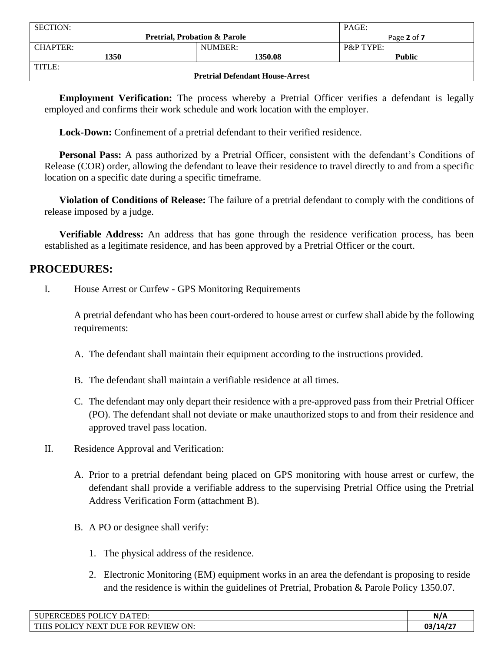| <b>SECTION:</b>                        |                                         | PAGE:                |
|----------------------------------------|-----------------------------------------|----------------------|
|                                        | <b>Pretrial, Probation &amp; Parole</b> | Page 2 of 7          |
| CHAPTER:                               | NUMBER:                                 | <b>P&amp;P TYPE:</b> |
| 1350                                   | 1350.08                                 | <b>Public</b>        |
| TITLE:                                 |                                         |                      |
| <b>Pretrial Defendant House-Arrest</b> |                                         |                      |

**Employment Verification:** The process whereby a Pretrial Officer verifies a defendant is legally employed and confirms their work schedule and work location with the employer.

**Lock-Down:** Confinement of a pretrial defendant to their verified residence.

**Personal Pass:** A pass authorized by a Pretrial Officer, consistent with the defendant's Conditions of Release (COR) order, allowing the defendant to leave their residence to travel directly to and from a specific location on a specific date during a specific timeframe.

**Violation of Conditions of Release:** The failure of a pretrial defendant to comply with the conditions of release imposed by a judge.

**Verifiable Address:** An address that has gone through the residence verification process, has been established as a legitimate residence, and has been approved by a Pretrial Officer or the court.

## **PROCEDURES:**

I. House Arrest or Curfew - GPS Monitoring Requirements

A pretrial defendant who has been court-ordered to house arrest or curfew shall abide by the following requirements:

- A. The defendant shall maintain their equipment according to the instructions provided.
- B. The defendant shall maintain a verifiable residence at all times.
- C. The defendant may only depart their residence with a pre-approved pass from their Pretrial Officer (PO). The defendant shall not deviate or make unauthorized stops to and from their residence and approved travel pass location.
- II. Residence Approval and Verification:
	- A. Prior to a pretrial defendant being placed on GPS monitoring with house arrest or curfew, the defendant shall provide a verifiable address to the supervising Pretrial Office using the Pretrial Address Verification Form (attachment B).
	- B. A PO or designee shall verify:
		- 1. The physical address of the residence.
		- 2. Electronic Monitoring (EM) equipment works in an area the defendant is proposing to reside and the residence is within the guidelines of Pretrial, Probation & Parole Policy 1350.07.

| <b>POL</b><br><b>LICY DATED:</b><br>CEDES<br><b>IPER</b>                                                                      | N/A      |
|-------------------------------------------------------------------------------------------------------------------------------|----------|
| ON.<br><b>DUE</b><br><b>FOR</b><br>. REVIEW<br>$T_{\rm C}$<br>TUIC<br>$\mathsf{D}\cap$<br>$\cdot$<br>'OLIC<br>NE<br>$\lambda$ | 03/14/27 |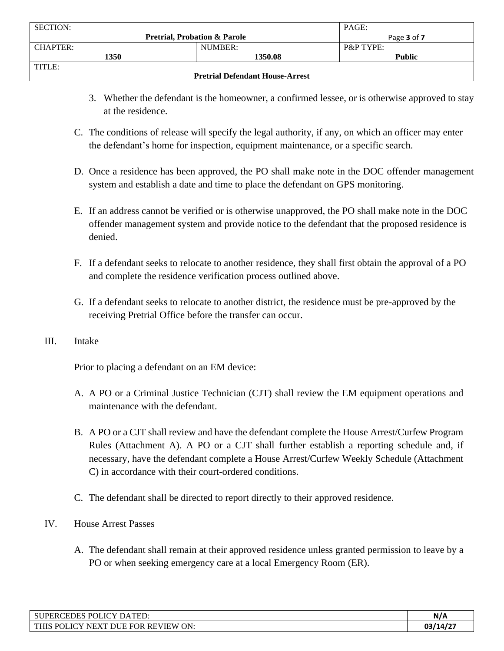| <b>SECTION:</b>                        |                                         | PAGE:                |
|----------------------------------------|-----------------------------------------|----------------------|
|                                        | <b>Pretrial, Probation &amp; Parole</b> | Page 3 of 7          |
| CHAPTER:                               | NUMBER:                                 | <b>P&amp;P TYPE:</b> |
| 1350                                   | 1350.08                                 | <b>Public</b>        |
| TITLE:                                 |                                         |                      |
| <b>Pretrial Defendant House-Arrest</b> |                                         |                      |

- 3. Whether the defendant is the homeowner, a confirmed lessee, or is otherwise approved to stay at the residence.
- C. The conditions of release will specify the legal authority, if any, on which an officer may enter the defendant's home for inspection, equipment maintenance, or a specific search.
- D. Once a residence has been approved, the PO shall make note in the DOC offender management system and establish a date and time to place the defendant on GPS monitoring.
- E. If an address cannot be verified or is otherwise unapproved, the PO shall make note in the DOC offender management system and provide notice to the defendant that the proposed residence is denied.
- F. If a defendant seeks to relocate to another residence, they shall first obtain the approval of a PO and complete the residence verification process outlined above.
- G. If a defendant seeks to relocate to another district, the residence must be pre-approved by the receiving Pretrial Office before the transfer can occur.
- III. Intake

Prior to placing a defendant on an EM device:

- A. A PO or a Criminal Justice Technician (CJT) shall review the EM equipment operations and maintenance with the defendant.
- B. A PO or a CJT shall review and have the defendant complete the House Arrest/Curfew Program Rules (Attachment A). A PO or a CJT shall further establish a reporting schedule and, if necessary, have the defendant complete a House Arrest/Curfew Weekly Schedule (Attachment C) in accordance with their court-ordered conditions.
- C. The defendant shall be directed to report directly to their approved residence.
- IV. House Arrest Passes
	- A. The defendant shall remain at their approved residence unless granted permission to leave by a PO or when seeking emergency care at a local Emergency Room (ER).

| $T\cap V$<br>POLIC<br><b>DATED</b><br>'PERCEDES .<br>'ED.                                       | N/A    |
|-------------------------------------------------------------------------------------------------|--------|
| "ON.<br><b>REVIEW</b><br><b>FOR</b><br><b>THIS</b><br>`NE.<br><b>POLICY</b><br><b>DITE</b><br>X | :14/2/ |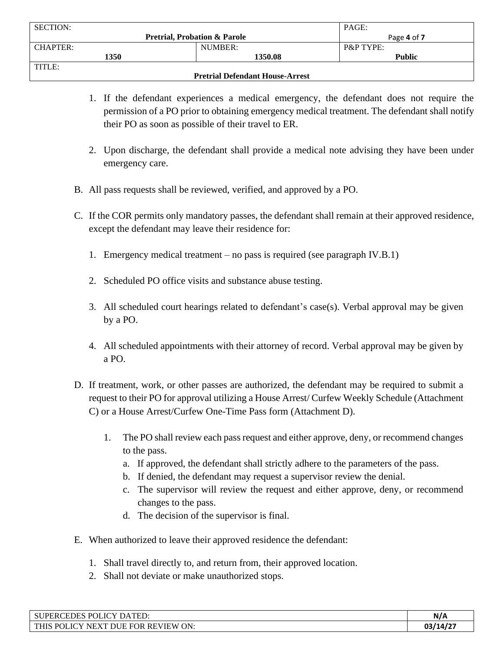| <b>SECTION:</b>                        |                                         | PAGE:                |
|----------------------------------------|-----------------------------------------|----------------------|
|                                        | <b>Pretrial, Probation &amp; Parole</b> | Page 4 of 7          |
| CHAPTER:                               | NUMBER:                                 | <b>P&amp;P TYPE:</b> |
| 1350                                   | 1350.08                                 | <b>Public</b>        |
| TITLE:                                 |                                         |                      |
| <b>Pretrial Defendant House-Arrest</b> |                                         |                      |

- 1. If the defendant experiences a medical emergency, the defendant does not require the permission of a PO prior to obtaining emergency medical treatment. The defendant shall notify their PO as soon as possible of their travel to ER.
- 2. Upon discharge, the defendant shall provide a medical note advising they have been under emergency care.
- B. All pass requests shall be reviewed, verified, and approved by a PO.
- C. If the COR permits only mandatory passes, the defendant shall remain at their approved residence, except the defendant may leave their residence for:
	- 1. Emergency medical treatment no pass is required (see paragraph IV.B.1)
	- 2. Scheduled PO office visits and substance abuse testing.
	- 3. All scheduled court hearings related to defendant's case(s). Verbal approval may be given by a PO.
	- 4. All scheduled appointments with their attorney of record. Verbal approval may be given by a PO.
- D. If treatment, work, or other passes are authorized, the defendant may be required to submit a request to their PO for approval utilizing a House Arrest/ Curfew Weekly Schedule (Attachment C) or a House Arrest/Curfew One-Time Pass form (Attachment D).
	- 1. The PO shall review each pass request and either approve, deny, or recommend changes to the pass.
		- a. If approved, the defendant shall strictly adhere to the parameters of the pass.
		- b. If denied, the defendant may request a supervisor review the denial.
		- c. The supervisor will review the request and either approve, deny, or recommend changes to the pass.
		- d. The decision of the supervisor is final.
- E. When authorized to leave their approved residence the defendant:
	- 1. Shall travel directly to, and return from, their approved location.
	- 2. Shall not deviate or make unauthorized stops.

| POLICY DATED:<br><b>CEDES</b><br><b>SUPERC</b>                                             | N/A      |
|--------------------------------------------------------------------------------------------|----------|
| ON:<br><b>REVIEW</b><br><b>THIS</b><br><b>FOR</b><br>POL<br>NF<br>DUE<br>- 10<br>$\lambda$ | 03/14/27 |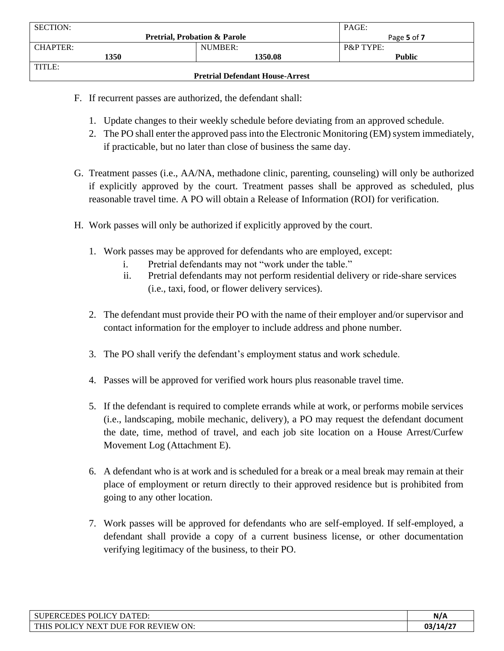| <b>SECTION:</b>                        |                                         | PAGE:                |
|----------------------------------------|-----------------------------------------|----------------------|
|                                        | <b>Pretrial, Probation &amp; Parole</b> | Page 5 of 7          |
| CHAPTER:                               | NUMBER:                                 | <b>P&amp;P TYPE:</b> |
| 1350                                   | 1350.08                                 | <b>Public</b>        |
| TITLE:                                 |                                         |                      |
| <b>Pretrial Defendant House-Arrest</b> |                                         |                      |

- F. If recurrent passes are authorized, the defendant shall:
	- 1. Update changes to their weekly schedule before deviating from an approved schedule.
	- 2. The PO shall enter the approved pass into the Electronic Monitoring (EM) system immediately, if practicable, but no later than close of business the same day.
- G. Treatment passes (i.e., AA/NA, methadone clinic, parenting, counseling) will only be authorized if explicitly approved by the court. Treatment passes shall be approved as scheduled, plus reasonable travel time. A PO will obtain a Release of Information (ROI) for verification.
- H. Work passes will only be authorized if explicitly approved by the court.
	- 1. Work passes may be approved for defendants who are employed, except:
		- i. Pretrial defendants may not "work under the table."
		- ii. Pretrial defendants may not perform residential delivery or ride-share services (i.e., taxi, food, or flower delivery services).
	- 2. The defendant must provide their PO with the name of their employer and/or supervisor and contact information for the employer to include address and phone number.
	- 3. The PO shall verify the defendant's employment status and work schedule.
	- 4. Passes will be approved for verified work hours plus reasonable travel time.
	- 5. If the defendant is required to complete errands while at work, or performs mobile services (i.e., landscaping, mobile mechanic, delivery), a PO may request the defendant document the date, time, method of travel, and each job site location on a House Arrest/Curfew Movement Log (Attachment E).
	- 6. A defendant who is at work and is scheduled for a break or a meal break may remain at their place of employment or return directly to their approved residence but is prohibited from going to any other location.
	- 7. Work passes will be approved for defendants who are self-employed. If self-employed, a defendant shall provide a copy of a current business license, or other documentation verifying legitimacy of the business, to their PO.

| POLIC.<br>$T\cap V$<br><b>SUPERCEDES</b><br>DATED.                      | N/A      |
|-------------------------------------------------------------------------|----------|
| ON.<br><b>THIS</b><br><b>REVIEW</b><br>DHE FOR<br>POLICY<br><b>NEXT</b> | 03/14/27 |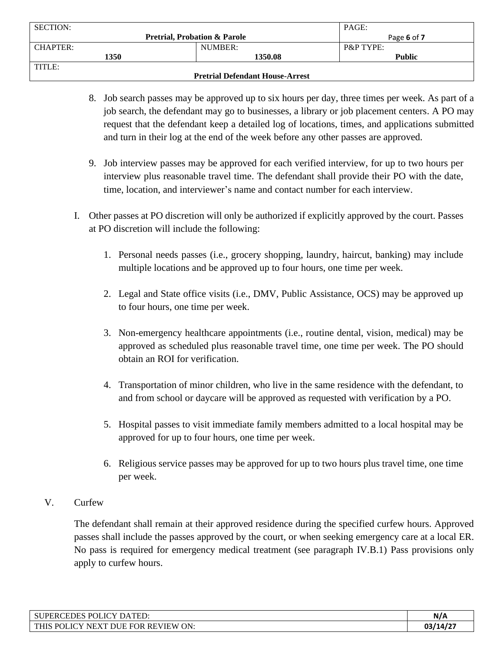| <b>SECTION:</b>                        |                                         | PAGE:                |
|----------------------------------------|-----------------------------------------|----------------------|
|                                        | <b>Pretrial, Probation &amp; Parole</b> | Page 6 of 7          |
| CHAPTER:                               | NUMBER:                                 | <b>P&amp;P TYPE:</b> |
| 1350                                   | 1350.08                                 | <b>Public</b>        |
| TITLE:                                 |                                         |                      |
| <b>Pretrial Defendant House-Arrest</b> |                                         |                      |

- 8. Job search passes may be approved up to six hours per day, three times per week. As part of a job search, the defendant may go to businesses, a library or job placement centers. A PO may request that the defendant keep a detailed log of locations, times, and applications submitted and turn in their log at the end of the week before any other passes are approved.
- 9. Job interview passes may be approved for each verified interview, for up to two hours per interview plus reasonable travel time. The defendant shall provide their PO with the date, time, location, and interviewer's name and contact number for each interview.
- I. Other passes at PO discretion will only be authorized if explicitly approved by the court. Passes at PO discretion will include the following:
	- 1. Personal needs passes (i.e., grocery shopping, laundry, haircut, banking) may include multiple locations and be approved up to four hours, one time per week.
	- 2. Legal and State office visits (i.e., DMV, Public Assistance, OCS) may be approved up to four hours, one time per week.
	- 3. Non-emergency healthcare appointments (i.e., routine dental, vision, medical) may be approved as scheduled plus reasonable travel time, one time per week. The PO should obtain an ROI for verification.
	- 4. Transportation of minor children, who live in the same residence with the defendant, to and from school or daycare will be approved as requested with verification by a PO.
	- 5. Hospital passes to visit immediate family members admitted to a local hospital may be approved for up to four hours, one time per week.
	- 6. Religious service passes may be approved for up to two hours plus travel time, one time per week.
- V. Curfew

The defendant shall remain at their approved residence during the specified curfew hours. Approved passes shall include the passes approved by the court, or when seeking emergency care at a local ER. No pass is required for emergency medical treatment (see paragraph IV.B.1) Pass provisions only apply to curfew hours.

| <b>POL</b><br><b>EDES</b><br>JCY D<br>$\lambda$ mp $\Gamma$<br><b>SUPERC</b><br><b>НИ</b><br>JА | N/A     |
|-------------------------------------------------------------------------------------------------|---------|
| <b>REVIEW ON:</b><br><b>THIS</b><br>POLICY<br>DHE.<br><b>NFX</b><br><b>FOR</b>                  | 03/14/2 |